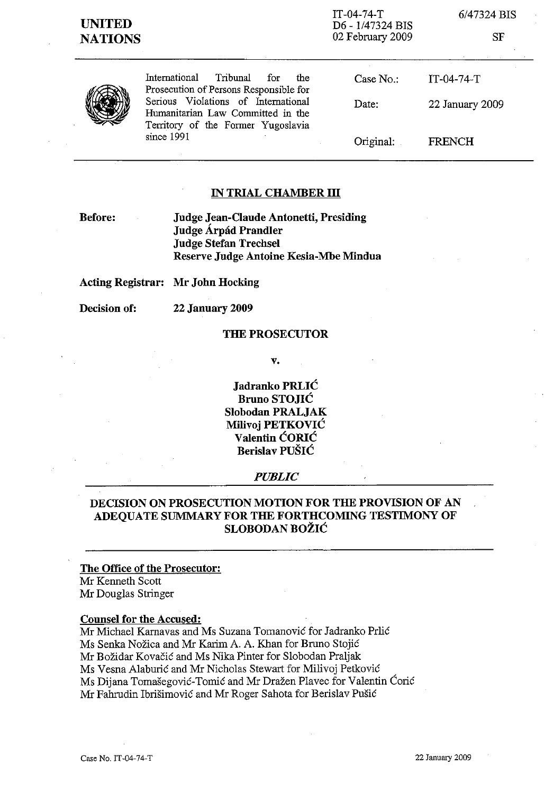IT-04-74-T D6 - 1/47324 BIS 02 February 2009 6/47324 BIS

SF

| J |
|---|
|---|

International Tribunal for the Prosecution of Persons Responsible for Serious Violations of International Humanitarian Law Committed in the Territory of the Former Yugoslavia since 1991

Case No.: Date: Original: IT-04-74-T 22 January 2009 FRENCH

## **IN TRIAL CHAMBER III**

**Before:**

**Judge Jean-Claude Antonetti, Presiding Judge Arpad Prandler Judge Stefan Trechsel Reserve Judge Antoine** Kesia-Mbe **Mindua**

**Acting Registrar: Mr John Hocking**

**Decision of: 22 January 2009**

### **THE PROSECUTOR**

**v.**

**Jadranko PRLIC Bruno STOJIC Slobodan PRALJAK Milivoj PETKOVIC Valentin CORIC Berislav PUSIC**

### *PUBLIC*

# **DECISION ON PROSECUTION MOTION FOR THE PROVISION OF AN ADEQUATE SUMMARY FOR THE FORTHCOMING TESTIMONY OF SLOBODAN BOZIC**

# **The Office of the Prosecutor:**

Mr Kenneth Scott Mr Douglas Stringer

### **Counsel for the Accused:**

Mr Michael Karnavas and Ms Suzana Tomanovic for Jadranko Prlic Ms Senka Nožica and Mr Karim A. A. Khan for Bruno Stojić Mr Bozidar Kovacic and Ms Nika Pinter for Slobodan Praljak Ms Vesna Alaburic and Mr Nicholas Stewart for Milivoj Petkovic Ms Dijana Tomasegovic-Tomic and Mr Drazen Plavec for Valentin Coric Mr Fahrudin Ibrisimovic and Mr Roger Sahota for Berislav Pusic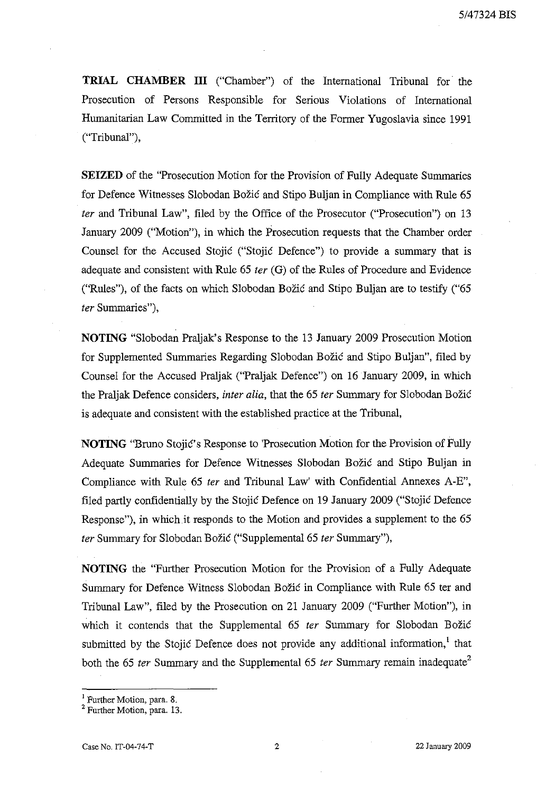**TRIAL CHAMBER ITI** ("Chamber") of the International Tribunal for the Prosecution of Persons Responsible for Serious Violations of International Humanitarian Law Committed in the Territory of the Former Yugoslavia since 1991 ("Tribunal"),

**SEIZED** of the "Prosecution Motion for the Provision of Fully Adequate Summaries for Defence Witnesses Slobodan Bozic and Stipo Buljan in Compliance with Rule 65 *ter* and Tribunal Law", filed by the Office of the Prosecutor ("Prosecution") on 13 January 2009 ("Motion"), in which the Prosecution requests that the Chamber order Counsel for the Accused Stojic ("Stojic Defence") to provide a summary that is adequate and consistent with Rule 65 *ter* (G) of the Rules of Procedure and Evidence ("Rules"), of the facts on which Slobodan Bozic and Stipo Buljan are to testify ("65 *ter* Summaries"),

**NOTING** "Slobodan Praljak's Response to the 13 January 2009 Prosecution Motion for Supplemented Summaries Regarding Slobodan Bozic and Stipo Buljan", filed by Counsel for the Accused Praljak ("Praljak Defence") on 16 January 2009, in which the Praljak Defence considers, *inter alia,* that the 65 *ter* Summary for Slobodan Bozic is adequate and consistent with the established practice at the Tribunal,

**NOTING** "Bruno Stojic's Response to 'Prosecution Motion for the Provision of Fully Adequate Summaries for Defence Witnesses Slobodan Bozic and Stipo Buljan in Compliance with Rule 65 *ter* and Tribunal Law' with Confidential Annexes A-E", filed partly confidentially by the Stojic Defence on 19 January 2009 ("Stojic Defence Response"), in which it responds to the Motion and provides a supplement to the 65 *ter* Summary for Slobodan Bozic ("Supplemental 65 *ter* Summary"),

**NOTING** the "Further Prosecution Motion for the Provision of a Fully Adequate Summary for Defence Witness Slobodan Bozic in Compliance with Rule 65 ter and Tribunal Law", filed by the Prosecution on 21 January 2009 ("Further Motion"), in which it contends that the Supplemental 65 *ter* Summary for Slobodan Božić submitted by the Stojic Defence does not provide any additional information, $<sup>1</sup>$  that</sup> both the 65 *ter* Summary and the Supplemental 65 *ter* Summary remain inadequate<sup>2</sup>

 $<sup>1</sup>$  Further Motion, para. 8.</sup>

<sup>&</sup>lt;sup>2</sup> Further Motion, para. 13.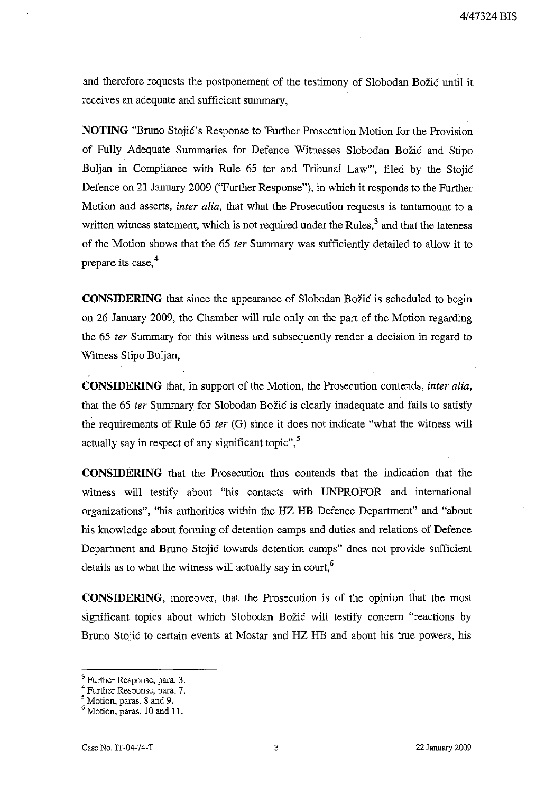and therefore requests the postponement of the testimony of Slobodan Bozic until it receives an adequate and sufficient summary,

**NOTING** "Bruno Stojic's Response to 'Further Prosecution Motion for the Provision of Fully Adequate Summaries for Defence Witnesses Slobodan Bozic and Stipo Buljan in Compliance with Rule 65 ter and Tribunal Law"', filed by the Stojic Defence on 21 January 2009 ("Further Response"), in which it responds to the Further Motion and asserts, *inter alia,* that what the Prosecution requests is tantamount to a written witness statement, which is not required under the Rules, $3$  and that the lateness of the Motion shows that the 65 *ter* Summary was sUfficiently detailed to allow it to prepare its case,<sup>4</sup>

**CONSIDERING** that since the appearance of Slobodan Božić is scheduled to begin on 26 January 2009, the Chamber will rule only on the part of the Motion regarding the 65 *ter* Summary for this witness and subsequently render a decision in regard to Witness Stipo Buljan,

**CONSIDERING** that, in support of the Motion, the Prosecution contends, *inter alia,* that the 65 *ter* Summary for Slobodan Bozic is clearly inadequate and fails to satisfy the requirements of Rule 65 *ter* (G) since it does not indicate "what the witness will actually say in respect of any significant topic", $5$ 

**CONSIDERING** that the Prosecution thus contends that the indication that the witness will testify about "his contacts with UNPROFOR and international organizations", "his authorities within the HZ HB Defence Department" and "about his knowledge about forming of detention camps and duties and relations of Defence Department and Bruno Stojic towards detention camps" does not provide sufficient details as to what the witness will actually say in court, $<sup>6</sup>$ </sup>

**CONSIDERING,** moreover, that the Prosecution is of the opinion that the most significant topics about which Slobodan Božić will testify concern "reactions by Bruno Stojic to certain events at Mostar and HZ HB and about his true powers, his

<sup>&</sup>lt;sup>3</sup> Further Response, para. 3.

<sup>4</sup> Further Response, para. 7.

<sup>&</sup>lt;sup>5</sup> Motion, paras. 8 and 9.

<sup>6</sup> Motion, paras. 10 and 11.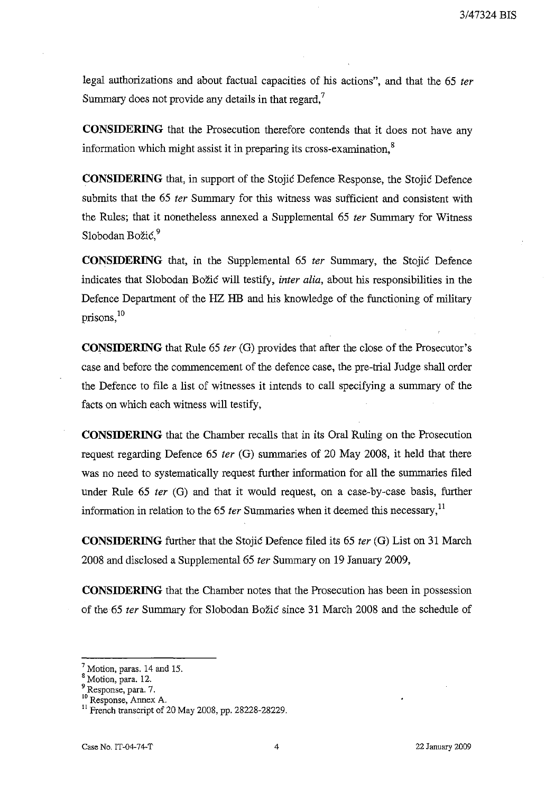legal authorizations and about factual capacities of his actions", and that the 65 *ter* Summary does not provide any details in that regard, $\overline{ }$ 

**CONSIDERING** that the Prosecution therefore contends that it does not have any information which might assist it in preparing its cross-examination. $<sup>8</sup>$ </sup>

**CONSIDERING** that, in support of the Stojic Defence Response, the Stojic Defence submits that the 65 *ter* Summary for this witness was sufficient and consistent with the Rules; that it nonetheless annexed a Supplemental 65 *ter* Summary for Witness Slobodan Božić.<sup>9</sup>

**CONSIDERING** that, in the Supplemental 65 *ter* Summary, the Stojic Defence indicates that Slobodan Bozic will testify, *inter alia,* about his responsibilities in the Defence Department of the HZ HB and his knowledge of the functioning of military prisons, $^{10}$ 

**CONSIDERING** that Rule 65 *ter* (G) provides that after the close of the Prosecutor's case and before the conunencement of the defence case, the pre-trial Judge shall order the Defence to file a list of witnesses it intends to call specifying a sununary of the facts on which each witness will testify,

**CONSIDERING** that the Chamber recalls that in its Oral Ruling on the Prosecution request regarding Defence 65 *ter* (G) summaries of 20 May 2008, it held that there was no need to systematically request further information for all the summaries filed under Rule 65 *ter* (G) and that it would request, on a case-by-case basis, further information in relation to the 65 *ter* Summaries when it deemed this necessary.'!

**CONSIDERING** further that the Stojic Defence filed its 65 *ter* (G) List on 31 March 2008 and disclosed a Supplemental 65 *ter* Summary on 19 January 2009,

**CONSIDERING** that the Chamber notes that the Prosecution has been in possession of the 65 *ter* Summary for Slobodan Bozic since 31 March 2008 and the schedule of

 $<sup>7</sup>$  Motion, paras. 14 and 15.</sup>

<sup>&</sup>lt;sup>8</sup> Motion, para. 12.

<sup>9</sup> Response, para. 7.

**<sup>10</sup>Response, Annex A.**

<sup>&</sup>lt;sup>11</sup> French transcript of 20 May 2008, pp. 28228-28229.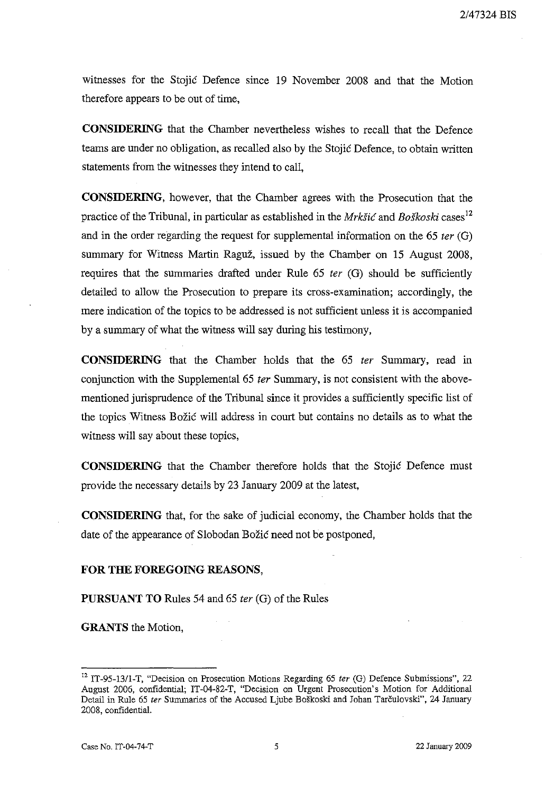witnesses for the Stojic Defence since 19 November 2008 and that the Motion therefore appears to be out of time,

**CONSIDERING** that the Chamber nevertheless wishes to recall that the Defence teams are under no obligation, as recalled also by the Stojic Defence, to obtain written statements from the witnesses they intend to call,

**CONSIDERING,** however, that the Chamber agrees with the Prosecution that the practice of the Tribunal, in particular as established in the *Mrkšić* and *Boškoski* cases<sup>12</sup> and in the order regarding the request for supplemental information on the 65 *ter* (G) summary for Witness Martin Raguz, issued by the Chamber on 15 August 2008, requires that the summaries drafted under Rule 65 *ter* (G) should be sufficiently detailed to allow the Prosecution to prepare its cross-examination; accordingly, the mere indication of the topics to be addressed is not sufficient unless it is accompanied by a summary of what the witness will say during his testimony,

**CONSIDERING** that the Chamber holds that the 65 *ter* Summary, read in conjunction with the Supplemental 65 *ter* Summary, is not consistent with the abovementioned jurisprudence of the Tribunal since it provides a sufficiently specific list of the topics Witness Bozic will address in court but contains no details as to what the witness will say about these topics,

**CONSIDERING** that the Chamber therefore holds that the Stojic Defence must provide the necessary details by 23 January 2009 at the latest,

**CONSIDERING** that, for the sake of judicial economy, the Chamber holds that the date of the appearance of Slobodan Božić need not be postponed,

### **FOR THE FOREGOING REASONS,**

**PURSUANT TO** Rules 54 and 65 *ter* (G) of the Rules

**GRANTS** the Motion,

<sup>12</sup> IT-95-13/1-T, "Decision on Prosecution Motions Regarding 65 *ter* (G) Defence Submissions", 22 August 2006, confidential; IT-04-82-T, "Decision on Urgent Prosecution's Motion for Additional Detail in Rule 65 ter Summaries of the Accused Ljube Boškoski and Johan Tarčulovski", 24 January 2008, confidential.